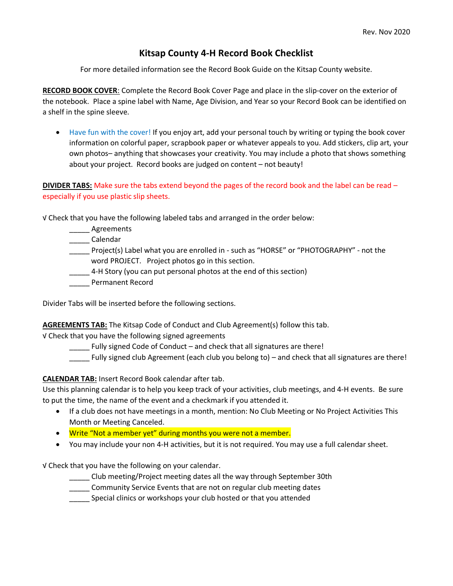## **Kitsap County 4-H Record Book Checklist**

For more detailed information see the Record Book Guide on the Kitsap County website.

**RECORD BOOK COVER**: Complete the Record Book Cover Page and place in the slip-cover on the exterior of the notebook. Place a spine label with Name, Age Division, and Year so your Record Book can be identified on a shelf in the spine sleeve.

• Have fun with the cover! If you enjoy art, add your personal touch by writing or typing the book cover information on colorful paper, scrapbook paper or whatever appeals to you. Add stickers, clip art, your own photos– anything that showcases your creativity. You may include a photo that shows something about your project. Record books are judged on content – not beauty!

**DIVIDER TABS:** Make sure the tabs extend beyond the pages of the record book and the label can be read – especially if you use plastic slip sheets.

√ Check that you have the following labeled tabs and arranged in the order below:

- \_\_\_\_\_ Agreements
- \_\_\_\_\_ Calendar
- \_\_\_\_\_ Project(s) Label what you are enrolled in such as "HORSE" or "PHOTOGRAPHY" not the word PROJECT. Project photos go in this section.
- \_\_\_\_\_ 4-H Story (you can put personal photos at the end of this section)
- \_\_\_\_\_ Permanent Record

Divider Tabs will be inserted before the following sections.

**AGREEMENTS TAB:** The Kitsap Code of Conduct and Club Agreement(s) follow this tab.

√ Check that you have the following signed agreements

Fully signed Code of Conduct – and check that all signatures are there!

\_\_\_\_\_ Fully signed club Agreement (each club you belong to) – and check that all signatures are there!

**CALENDAR TAB:** Insert Record Book calendar after tab.

Use this planning calendar is to help you keep track of your activities, club meetings, and 4-H events. Be sure to put the time, the name of the event and a checkmark if you attended it.

- If a club does not have meetings in a month, mention: No Club Meeting or No Project Activities This Month or Meeting Canceled.
- Write "Not a member yet" during months you were not a member.
- You may include your non 4-H activities, but it is not required. You may use a full calendar sheet.

√ Check that you have the following on your calendar.

- \_\_\_\_\_ Club meeting/Project meeting dates all the way through September 30th
- **\_\_\_\_\_** Community Service Events that are not on regular club meeting dates
- \_\_\_\_\_ Special clinics or workshops your club hosted or that you attended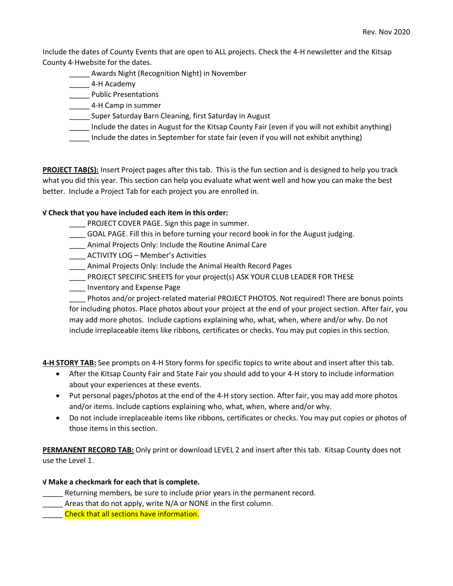Include the dates of County Events that are open to ALL projects. Check the 4-H newsletter and the Kitsap County 4-Hwebsite for the dates.

- Awards Night (Recognition Night) in November
- \_\_\_\_\_ 4-H Academy
- \_\_\_\_\_ Public Presentations
- **LEGGG-1** 4-H Camp in summer
- \_\_\_\_\_ Super Saturday Barn Cleaning, first Saturday in August
- \_\_\_\_\_ Include the dates in August for the Kitsap County Fair (even if you will not exhibit anything)
- \_\_\_\_\_ Include the dates in September for state fair (even if you will not exhibit anything)

**PROJECT TAB(S):** Insert Project pages after this tab. This is the fun section and is designed to help you track what you did this year. This section can help you evaluate what went well and how you can make the best better. Include a Project Tab for each project you are enrolled in.

## **√ Check that you have included each item in this order:**

- \_\_\_\_ PROJECT COVER PAGE. Sign this page in summer.
- \_\_\_\_ GOAL PAGE. Fill this in before turning your record book in for the August judging.
- **\_\_\_\_** Animal Projects Only: Include the Routine Animal Care
- \_\_\_\_ ACTIVITY LOG Member's Activities
- \_\_\_\_ Animal Projects Only: Include the Animal Health Record Pages
- \_\_\_\_ PROJECT SPECIFIC SHEETS for your project(s) ASK YOUR CLUB LEADER FOR THESE
- \_\_\_\_ Inventory and Expense Page

\_\_\_\_ Photos and/or project-related material PROJECT PHOTOS. Not required! There are bonus points for including photos. Place photos about your project at the end of your project section. After fair, you may add more photos. Include captions explaining who, what, when, where and/or why. Do not include irreplaceable items like ribbons, certificates or checks. You may put copies in this section.

**4-H STORY TAB:** See prompts on 4-H Story forms for specific topics to write about and insert after this tab.

- After the Kitsap County Fair and State Fair you should add to your 4-H story to include information about your experiences at these events.
- Put personal pages/photos at the end of the 4-H story section. After fair, you may add more photos and/or items. Include captions explaining who, what, when, where and/or why.
- Do not include irreplaceable items like ribbons, certificates or checks. You may put copies or photos of those items in this section.

**PERMANENT RECORD TAB:** Only print or download LEVEL 2 and insert after this tab. Kitsap County does not use the Level 1.

## **√ Make a checkmark for each that is complete.**

- Returning members, be sure to include prior years in the permanent record.
- Areas that do not apply, write N/A or NONE in the first column.

\_\_\_\_\_ Check that all sections have information.